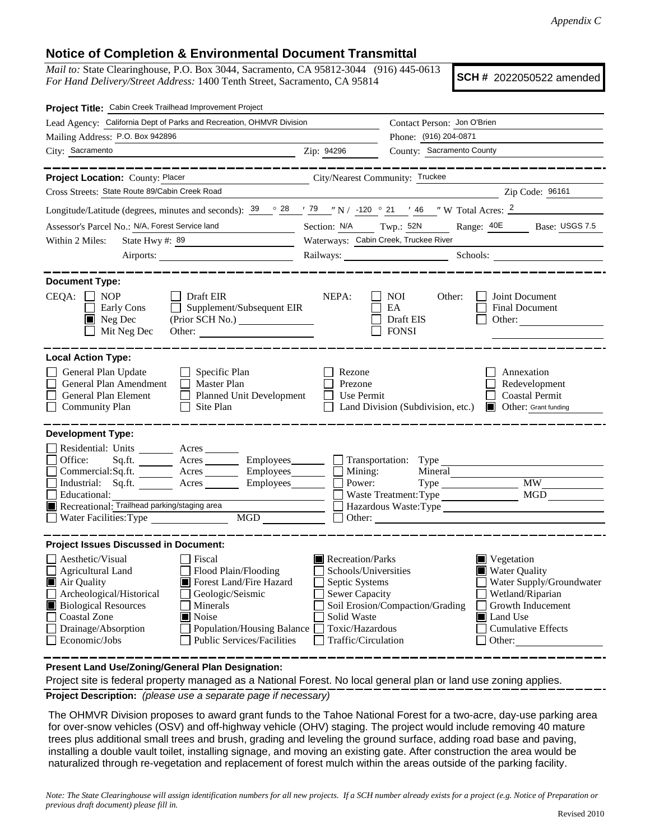## **Notice of Completion & Environmental Document Transmittal**

*Mail to:* State Clearinghouse, P.O. Box 3044, Sacramento, CA 95812-3044 (916) 445-0613 *For Hand Delivery/Street Address:* 1400 Tenth Street, Sacramento, CA 95814

**SCH #** 2022050522 amended

| Project Title: Cabin Creek Trailhead Improvement Project                                                                                                                                                                                                                                                                                                |                                                                                                                                                                                                                                                                                                                                                   |  |  |  |
|---------------------------------------------------------------------------------------------------------------------------------------------------------------------------------------------------------------------------------------------------------------------------------------------------------------------------------------------------------|---------------------------------------------------------------------------------------------------------------------------------------------------------------------------------------------------------------------------------------------------------------------------------------------------------------------------------------------------|--|--|--|
| Lead Agency: California Dept of Parks and Recreation, OHMVR Division                                                                                                                                                                                                                                                                                    | Contact Person: Jon O'Brien                                                                                                                                                                                                                                                                                                                       |  |  |  |
| Mailing Address: P.O. Box 942896                                                                                                                                                                                                                                                                                                                        | Phone: (916) 204-0871                                                                                                                                                                                                                                                                                                                             |  |  |  |
| City: Sacramento                                                                                                                                                                                                                                                                                                                                        | County: Sacramento County<br>Zip: 94296                                                                                                                                                                                                                                                                                                           |  |  |  |
| _______<br>Project Location: County: Placer                                                                                                                                                                                                                                                                                                             | City/Nearest Community: Truckee                                                                                                                                                                                                                                                                                                                   |  |  |  |
| Cross Streets: State Route 89/Cabin Creek Road                                                                                                                                                                                                                                                                                                          | Zip Code: 96161                                                                                                                                                                                                                                                                                                                                   |  |  |  |
|                                                                                                                                                                                                                                                                                                                                                         | Longitude/Latitude (degrees, minutes and seconds): $\frac{39}{9}$ $\frac{28}{79}$ $\frac{79}{7}$ N / -120 $\degree$ 21 $\degree$ 46 $\degree$ W Total Acres: $\frac{2}{7}$                                                                                                                                                                        |  |  |  |
| Assessor's Parcel No.: N/A, Forest Service land                                                                                                                                                                                                                                                                                                         | Range: 40E Base: USGS 7.5<br>Section: N/A Twp.: 52N                                                                                                                                                                                                                                                                                               |  |  |  |
| State Hwy #: $89$<br>Within 2 Miles:                                                                                                                                                                                                                                                                                                                    | Waterways: Cabin Creek, Truckee River                                                                                                                                                                                                                                                                                                             |  |  |  |
|                                                                                                                                                                                                                                                                                                                                                         | Railways: Schools: Schools:                                                                                                                                                                                                                                                                                                                       |  |  |  |
| <b>Document Type:</b><br>$CEQA: \Box NP$<br>│ │ Draft EIR<br>Supplement/Subsequent EIR<br>Early Cons<br>$\blacksquare$ Neg Dec<br>Mit Neg Dec                                                                                                                                                                                                           | NEPA:<br><b>NOI</b><br>Joint Document<br>Other:<br>EA<br><b>Final Document</b><br>Draft EIS<br>Other: $\qquad \qquad$<br><b>FONSI</b>                                                                                                                                                                                                             |  |  |  |
| <b>Local Action Type:</b>                                                                                                                                                                                                                                                                                                                               |                                                                                                                                                                                                                                                                                                                                                   |  |  |  |
| General Plan Update<br>$\Box$ Specific Plan<br>General Plan Amendment<br>Master Plan<br>General Plan Element<br>$\Box$<br><b>Planned Unit Development</b><br>Site Plan<br><b>Community Plan</b><br>$\perp$                                                                                                                                              | Rezone<br>Annexation<br>Prezone<br>Redevelopment<br><b>Coastal Permit</b><br>Use Permit<br><b>Other:</b> Grant funding<br>Land Division (Subdivision, etc.)                                                                                                                                                                                       |  |  |  |
| <b>Development Type:</b><br>Residential: Units ________ Acres _______<br>Office:<br>Sq.fit.<br>Acres<br>Commercial:Sq.ft. <u>Acres</u> Acres Employees<br>Industrial: Sq.ft. Acres<br>Employees________<br>Educational:<br>Recreational: Trailhead parking/staging area<br>MGD<br>Water Facilities: Type                                                | $\blacksquare$ Mining:<br>Mineral<br>Power:<br><b>MW</b><br>Type<br>MGD<br>Waste Treatment: Type<br>Hazardous Waste:Type<br>Other:                                                                                                                                                                                                                |  |  |  |
| <b>Project Issues Discussed in Document:</b>                                                                                                                                                                                                                                                                                                            |                                                                                                                                                                                                                                                                                                                                                   |  |  |  |
| Aesthetic/Visual<br>Fiscal<br>Flood Plain/Flooding<br><b>Agricultural Land</b><br>Air Quality<br>Forest Land/Fire Hazard<br>Archeological/Historical<br>Geologic/Seismic<br><b>Biological Resources</b><br>Minerals<br><b>Coastal Zone</b><br>Noise<br>Drainage/Absorption<br>Population/Housing Balance<br>Public Services/Facilities<br>Economic/Jobs | Recreation/Parks<br>Vegetation<br>Schools/Universities<br>■ Water Quality<br>Septic Systems<br>Water Supply/Groundwater<br><b>Sewer Capacity</b><br>Wetland/Riparian<br>Soil Erosion/Compaction/Grading<br>Growth Inducement<br>Solid Waste<br><b>I</b> Land Use<br>Toxic/Hazardous<br><b>Cumulative Effects</b><br>Traffic/Circulation<br>Other: |  |  |  |

**Present Land Use/Zoning/General Plan Designation:**

**Project Description:** *(please use a separate page if necessary)* Project site is federal property managed as a National Forest. No local general plan or land use zoning applies.

 The OHMVR Division proposes to award grant funds to the Tahoe National Forest for a two-acre, day-use parking area for over-snow vehicles (OSV) and off-highway vehicle (OHV) staging. The project would include removing 40 mature trees plus additional small trees and brush, grading and leveling the ground surface, adding road base and paving, installing a double vault toilet, installing signage, and moving an existing gate. After construction the area would be naturalized through re-vegetation and replacement of forest mulch within the areas outside of the parking facility.

*Note: The State Clearinghouse will assign identification numbers for all new projects. If a SCH number already exists for a project (e.g. Notice of Preparation or previous draft document) please fill in.*